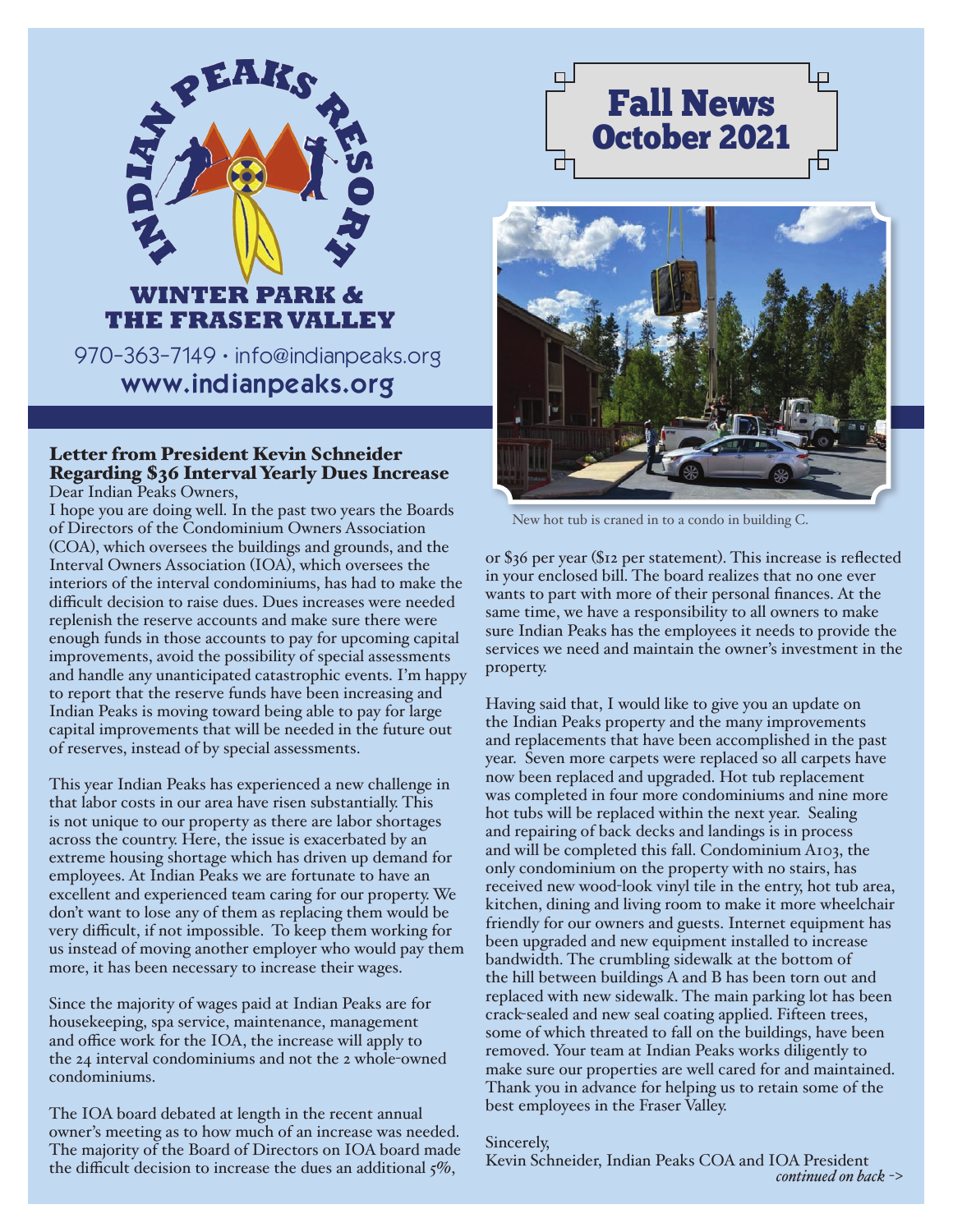

# inte er parik & THE FRASER VALLEY

970-363-7149 • info@indianpeaks.org www.indianpeaks.org

## Letter from President Kevin Schneider Regarding \$36 Interval Yearly Dues Increase

Dear Indian Peaks Owners,

I hope you are doing well. In the past two years the Boards of Directors of the Condominium Owners Association (COA), which oversees the buildings and grounds, and the Interval Owners Association (IOA), which oversees the interiors of the interval condominiums, has had to make the difficult decision to raise dues. Dues increases were needed replenish the reserve accounts and make sure there were enough funds in those accounts to pay for upcoming capital improvements, avoid the possibility of special assessments and handle any unanticipated catastrophic events. I'm happy to report that the reserve funds have been increasing and Indian Peaks is moving toward being able to pay for large capital improvements that will be needed in the future out of reserves, instead of by special assessments.

This year Indian Peaks has experienced a new challenge in that labor costs in our area have risen substantially. This is not unique to our property as there are labor shortages across the country. Here, the issue is exacerbated by an extreme housing shortage which has driven up demand for employees. At Indian Peaks we are fortunate to have an excellent and experienced team caring for our property. We don't want to lose any of them as replacing them would be very difficult, if not impossible. To keep them working for us instead of moving another employer who would pay them more, it has been necessary to increase their wages.

Since the majority of wages paid at Indian Peaks are for housekeeping, spa service, maintenance, management and office work for the IOA, the increase will apply to the 24 interval condominiums and not the 2 whole-owned condominiums.

The IOA board debated at length in the recent annual owner's meeting as to how much of an increase was needed. The majority of the Board of Directors on IOA board made the difficult decision to increase the dues an additional  $\zeta\%$ ,





New hot tub is craned in to a condo in building C.

or \$36 per year (\$12 per statement). This increase is reflected in your enclosed bill. The board realizes that no one ever wants to part with more of their personal finances. At the same time, we have a responsibility to all owners to make sure Indian Peaks has the employees it needs to provide the services we need and maintain the owner's investment in the property.

Having said that, I would like to give you an update on the Indian Peaks property and the many improvements and replacements that have been accomplished in the past year. Seven more carpets were replaced so all carpets have now been replaced and upgraded. Hot tub replacement was completed in four more condominiums and nine more hot tubs will be replaced within the next year. Sealing and repairing of back decks and landings is in process and will be completed this fall. Condominium A103, the only condominium on the property with no stairs, has received new wood-look vinyl tile in the entry, hot tub area, kitchen, dining and living room to make it more wheelchair friendly for our owners and guests. Internet equipment has been upgraded and new equipment installed to increase bandwidth. The crumbling sidewalk at the bottom of the hill between buildings A and B has been torn out and replaced with new sidewalk. The main parking lot has been crack-sealed and new seal coating applied. Fifteen trees, some of which threated to fall on the buildings, have been removed. Your team at Indian Peaks works diligently to make sure our properties are well cared for and maintained. Thank you in advance for helping us to retain some of the best employees in the Fraser Valley.

#### Sincerely,

Kevin Schneider, Indian Peaks COA and IOA President *continued on back* ->